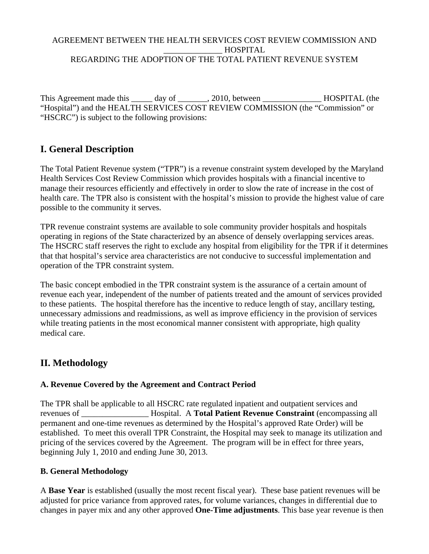#### AGREEMENT BETWEEN THE HEALTH SERVICES COST REVIEW COMMISSION AND \_\_\_\_\_\_\_\_\_\_\_\_\_\_ HOSPITAL REGARDING THE ADOPTION OF THE TOTAL PATIENT REVENUE SYSTEM

This Agreement made this \_\_\_\_\_ day of \_\_\_\_\_\_, 2010, between \_\_\_\_\_\_\_\_\_\_\_\_\_\_\_\_\_HOSPITAL (the "Hospital") and the HEALTH SERVICES COST REVIEW COMMISSION (the "Commission" or "HSCRC") is subject to the following provisions:

# **I. General Description**

The Total Patient Revenue system ("TPR") is a revenue constraint system developed by the Maryland Health Services Cost Review Commission which provides hospitals with a financial incentive to manage their resources efficiently and effectively in order to slow the rate of increase in the cost of health care. The TPR also is consistent with the hospital's mission to provide the highest value of care possible to the community it serves.

TPR revenue constraint systems are available to sole community provider hospitals and hospitals operating in regions of the State characterized by an absence of densely overlapping services areas. The HSCRC staff reserves the right to exclude any hospital from eligibility for the TPR if it determines that that hospital's service area characteristics are not conducive to successful implementation and operation of the TPR constraint system.

The basic concept embodied in the TPR constraint system is the assurance of a certain amount of revenue each year, independent of the number of patients treated and the amount of services provided to these patients. The hospital therefore has the incentive to reduce length of stay, ancillary testing, unnecessary admissions and readmissions, as well as improve efficiency in the provision of services while treating patients in the most economical manner consistent with appropriate, high quality medical care.

# **II. Methodology**

## **A. Revenue Covered by the Agreement and Contract Period**

The TPR shall be applicable to all HSCRC rate regulated inpatient and outpatient services and revenues of \_\_\_\_\_\_\_\_\_\_\_\_\_\_\_\_ Hospital. A **Total Patient Revenue Constraint** (encompassing all permanent and one-time revenues as determined by the Hospital's approved Rate Order) will be established. To meet this overall TPR Constraint, the Hospital may seek to manage its utilization and pricing of the services covered by the Agreement. The program will be in effect for three years, beginning July 1, 2010 and ending June 30, 2013.

#### **B. General Methodology**

A **Base Year** is established (usually the most recent fiscal year). These base patient revenues will be adjusted for price variance from approved rates, for volume variances, changes in differential due to changes in payer mix and any other approved **One-Time adjustments**. This base year revenue is then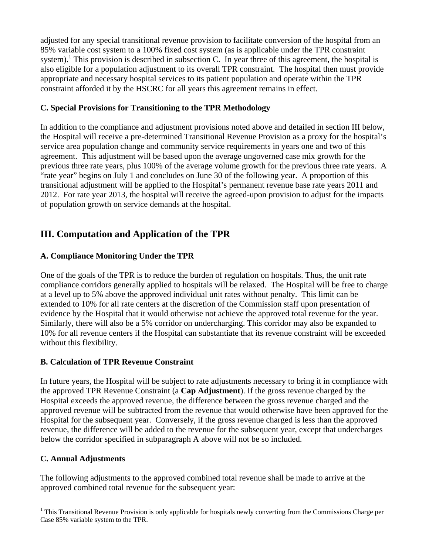adjusted for any special transitional revenue provision to facilitate conversion of the hospital from an 85% variable cost system to a 100% fixed cost system (as is applicable under the TPR constraint system).<sup>1</sup> This provision is described in subsection C. In year three of this agreement, the hospital is also eligible for a population adjustment to its overall TPR constraint. The hospital then must provide appropriate and necessary hospital services to its patient population and operate within the TPR constraint afforded it by the HSCRC for all years this agreement remains in effect.

### **C. Special Provisions for Transitioning to the TPR Methodology**

In addition to the compliance and adjustment provisions noted above and detailed in section III below, the Hospital will receive a pre-determined Transitional Revenue Provision as a proxy for the hospital's service area population change and community service requirements in years one and two of this agreement. This adjustment will be based upon the average ungoverned case mix growth for the previous three rate years, plus 100% of the average volume growth for the previous three rate years. A "rate year" begins on July 1 and concludes on June 30 of the following year. A proportion of this transitional adjustment will be applied to the Hospital's permanent revenue base rate years 2011 and 2012. For rate year 2013, the hospital will receive the agreed-upon provision to adjust for the impacts of population growth on service demands at the hospital.

# **III. Computation and Application of the TPR**

## **A. Compliance Monitoring Under the TPR**

One of the goals of the TPR is to reduce the burden of regulation on hospitals. Thus, the unit rate compliance corridors generally applied to hospitals will be relaxed. The Hospital will be free to charge at a level up to 5% above the approved individual unit rates without penalty. This limit can be extended to 10% for all rate centers at the discretion of the Commission staff upon presentation of evidence by the Hospital that it would otherwise not achieve the approved total revenue for the year. Similarly, there will also be a 5% corridor on undercharging. This corridor may also be expanded to 10% for all revenue centers if the Hospital can substantiate that its revenue constraint will be exceeded without this flexibility.

## **B. Calculation of TPR Revenue Constraint**

In future years, the Hospital will be subject to rate adjustments necessary to bring it in compliance with the approved TPR Revenue Constraint (a **Cap Adjustment**). If the gross revenue charged by the Hospital exceeds the approved revenue, the difference between the gross revenue charged and the approved revenue will be subtracted from the revenue that would otherwise have been approved for the Hospital for the subsequent year. Conversely, if the gross revenue charged is less than the approved revenue, the difference will be added to the revenue for the subsequent year, except that undercharges below the corridor specified in subparagraph A above will not be so included.

## **C. Annual Adjustments**

 $\overline{a}$ 

The following adjustments to the approved combined total revenue shall be made to arrive at the approved combined total revenue for the subsequent year:

<sup>&</sup>lt;sup>1</sup> This Transitional Revenue Provision is only applicable for hospitals newly converting from the Commissions Charge per Case 85% variable system to the TPR.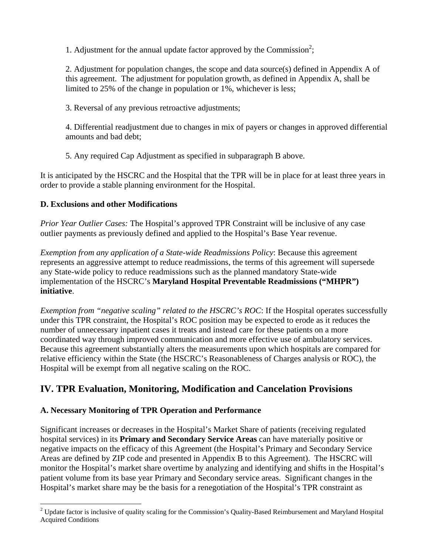1. Adjustment for the annual update factor approved by the Commission<sup>2</sup>;

2. Adjustment for population changes, the scope and data source(s) defined in Appendix A of this agreement. The adjustment for population growth, as defined in Appendix A, shall be limited to 25% of the change in population or 1%, whichever is less;

3. Reversal of any previous retroactive adjustments;

4. Differential readjustment due to changes in mix of payers or changes in approved differential amounts and bad debt;

5. Any required Cap Adjustment as specified in subparagraph B above.

It is anticipated by the HSCRC and the Hospital that the TPR will be in place for at least three years in order to provide a stable planning environment for the Hospital.

### **D. Exclusions and other Modifications**

 $\overline{a}$ 

*Prior Year Outlier Cases:* The Hospital's approved TPR Constraint will be inclusive of any case outlier payments as previously defined and applied to the Hospital's Base Year revenue.

*Exemption from any application of a State-wide Readmissions Policy*: Because this agreement represents an aggressive attempt to reduce readmissions, the terms of this agreement will supersede any State-wide policy to reduce readmissions such as the planned mandatory State-wide implementation of the HSCRC's **Maryland Hospital Preventable Readmissions ("MHPR") initiative**.

*Exemption from "negative scaling" related to the HSCRC's ROC*: If the Hospital operates successfully under this TPR constraint, the Hospital's ROC position may be expected to erode as it reduces the number of unnecessary inpatient cases it treats and instead care for these patients on a more coordinated way through improved communication and more effective use of ambulatory services. Because this agreement substantially alters the measurements upon which hospitals are compared for relative efficiency within the State (the HSCRC's Reasonableness of Charges analysis or ROC), the Hospital will be exempt from all negative scaling on the ROC.

# **IV. TPR Evaluation, Monitoring, Modification and Cancelation Provisions**

## **A. Necessary Monitoring of TPR Operation and Performance**

Significant increases or decreases in the Hospital's Market Share of patients (receiving regulated hospital services) in its **Primary and Secondary Service Areas** can have materially positive or negative impacts on the efficacy of this Agreement (the Hospital's Primary and Secondary Service Areas are defined by ZIP code and presented in Appendix B to this Agreement). The HSCRC will monitor the Hospital's market share overtime by analyzing and identifying and shifts in the Hospital's patient volume from its base year Primary and Secondary service areas. Significant changes in the Hospital's market share may be the basis for a renegotiation of the Hospital's TPR constraint as

 $2$  Update factor is inclusive of quality scaling for the Commission's Quality-Based Reimbursement and Maryland Hospital Acquired Conditions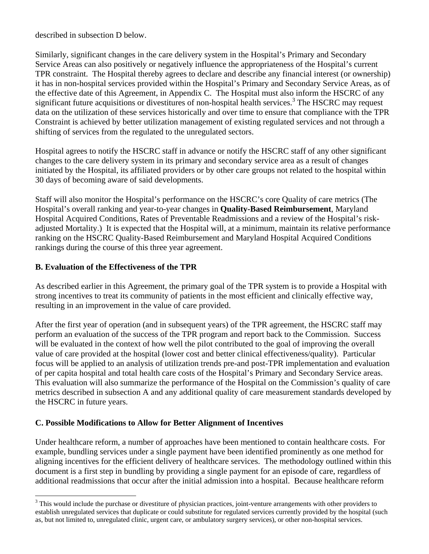described in subsection D below.

Similarly, significant changes in the care delivery system in the Hospital's Primary and Secondary Service Areas can also positively or negatively influence the appropriateness of the Hospital's current TPR constraint. The Hospital thereby agrees to declare and describe any financial interest (or ownership) it has in non-hospital services provided within the Hospital's Primary and Secondary Service Areas, as of the effective date of this Agreement, in Appendix C. The Hospital must also inform the HSCRC of any significant future acquisitions or divestitures of non-hospital health services.<sup>3</sup> The HSCRC may request data on the utilization of these services historically and over time to ensure that compliance with the TPR Constraint is achieved by better utilization management of existing regulated services and not through a shifting of services from the regulated to the unregulated sectors.

Hospital agrees to notify the HSCRC staff in advance or notify the HSCRC staff of any other significant changes to the care delivery system in its primary and secondary service area as a result of changes initiated by the Hospital, its affiliated providers or by other care groups not related to the hospital within 30 days of becoming aware of said developments.

Staff will also monitor the Hospital's performance on the HSCRC's core Quality of care metrics (The Hospital's overall ranking and year-to-year changes in **Quality-Based Reimbursement**, Maryland Hospital Acquired Conditions, Rates of Preventable Readmissions and a review of the Hospital's riskadjusted Mortality.) It is expected that the Hospital will, at a minimum, maintain its relative performance ranking on the HSCRC Quality-Based Reimbursement and Maryland Hospital Acquired Conditions rankings during the course of this three year agreement.

### **B. Evaluation of the Effectiveness of the TPR**

 $\overline{a}$ 

As described earlier in this Agreement, the primary goal of the TPR system is to provide a Hospital with strong incentives to treat its community of patients in the most efficient and clinically effective way, resulting in an improvement in the value of care provided.

After the first year of operation (and in subsequent years) of the TPR agreement, the HSCRC staff may perform an evaluation of the success of the TPR program and report back to the Commission. Success will be evaluated in the context of how well the pilot contributed to the goal of improving the overall value of care provided at the hospital (lower cost and better clinical effectiveness/quality). Particular focus will be applied to an analysis of utilization trends pre-and post-TPR implementation and evaluation of per capita hospital and total health care costs of the Hospital's Primary and Secondary Service areas. This evaluation will also summarize the performance of the Hospital on the Commission's quality of care metrics described in subsection A and any additional quality of care measurement standards developed by the HSCRC in future years.

#### **C. Possible Modifications to Allow for Better Alignment of Incentives**

Under healthcare reform, a number of approaches have been mentioned to contain healthcare costs. For example, bundling services under a single payment have been identified prominently as one method for aligning incentives for the efficient delivery of healthcare services. The methodology outlined within this document is a first step in bundling by providing a single payment for an episode of care, regardless of additional readmissions that occur after the initial admission into a hospital. Because healthcare reform

 $3$  This would include the purchase or divestiture of physician practices, joint-venture arrangements with other providers to establish unregulated services that duplicate or could substitute for regulated services currently provided by the hospital (such as, but not limited to, unregulated clinic, urgent care, or ambulatory surgery services), or other non-hospital services.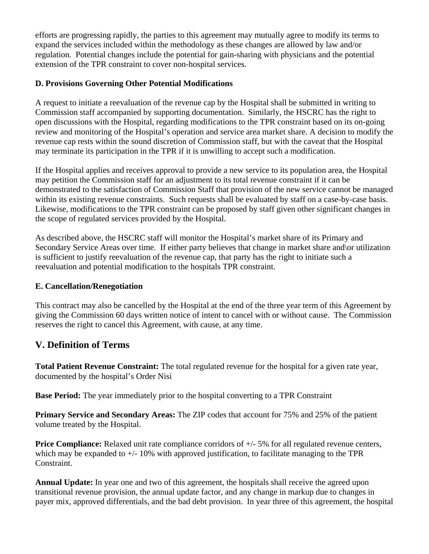efforts are progressing rapidly, the parties to this agreement may mutually agree to modify its terms to expand the services included within the methodology as these changes are allowed by law and/or regulation. Potential changes include the potential for gain-sharing with physicians and the potential extension of the TPR constraint to cover non-hospital services.

## **D. Provisions Governing Other Potential Modifications**

A request to initiate a reevaluation of the revenue cap by the Hospital shall be submitted in writing to Commission staff accompanied by supporting documentation. Similarly, the HSCRC has the right to open discussions with the Hospital, regarding modifications to the TPR constraint based on its on-going review and monitoring of the Hospital's operation and service area market share. A decision to modify the revenue cap rests within the sound discretion of Commission staff, but with the caveat that the Hospital may terminate its participation in the TPR if it is unwilling to accept such a modification.

If the Hospital applies and receives approval to provide a new service to its population area, the Hospital may petition the Commission staff for an adjustment to its total revenue constraint if it can be demonstrated to the satisfaction of Commission Staff that provision of the new service cannot be managed within its existing revenue constraints. Such requests shall be evaluated by staff on a case-by-case basis. Likewise, modifications to the TPR constraint can be proposed by staff given other significant changes in the scope of regulated services provided by the Hospital.

As described above, the HSCRC staff will monitor the Hospital's market share of its Primary and Secondary Service Areas over time. If either party believes that change in market share and\or utilization is sufficient to justify reevaluation of the revenue cap, that party has the right to initiate such a reevaluation and potential modification to the hospitals TPR constraint.

## **E. Cancellation/Renegotiation**

This contract may also be cancelled by the Hospital at the end of the three year term of this Agreement by giving the Commission 60 days written notice of intent to cancel with or without cause. The Commission reserves the right to cancel this Agreement, with cause, at any time.

# **V. Definition of Terms**

**Total Patient Revenue Constraint:** The total regulated revenue for the hospital for a given rate year, documented by the hospital's Order Nisi

**Base Period:** The year immediately prior to the hospital converting to a TPR Constraint

**Primary Service and Secondary Areas:** The ZIP codes that account for 75% and 25% of the patient volume treated by the Hospital.

**Price Compliance:** Relaxed unit rate compliance corridors of  $+/-5\%$  for all regulated revenue centers, which may be expanded to  $+/-10\%$  with approved justification, to facilitate managing to the TPR Constraint.

**Annual Update:** In year one and two of this agreement, the hospitals shall receive the agreed upon transitional revenue provision, the annual update factor, and any change in markup due to changes in payer mix, approved differentials, and the bad debt provision. In year three of this agreement, the hospital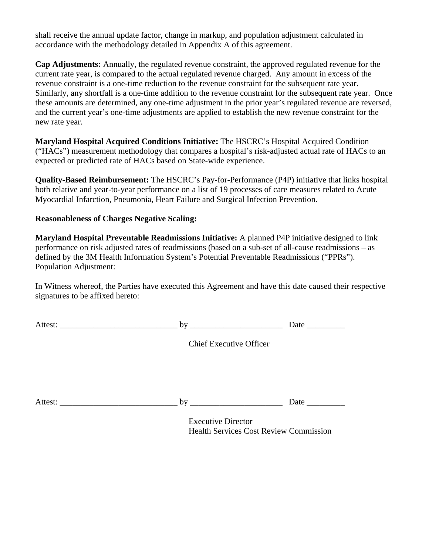shall receive the annual update factor, change in markup, and population adjustment calculated in accordance with the methodology detailed in Appendix A of this agreement.

**Cap Adjustments:** Annually, the regulated revenue constraint, the approved regulated revenue for the current rate year, is compared to the actual regulated revenue charged. Any amount in excess of the revenue constraint is a one-time reduction to the revenue constraint for the subsequent rate year. Similarly, any shortfall is a one-time addition to the revenue constraint for the subsequent rate year. Once these amounts are determined, any one-time adjustment in the prior year's regulated revenue are reversed, and the current year's one-time adjustments are applied to establish the new revenue constraint for the new rate year.

**Maryland Hospital Acquired Conditions Initiative:** The HSCRC's Hospital Acquired Condition ("HACs") measurement methodology that compares a hospital's risk-adjusted actual rate of HACs to an expected or predicted rate of HACs based on State-wide experience.

**Quality-Based Reimbursement:** The HSCRC's Pay-for-Performance (P4P) initiative that links hospital both relative and year-to-year performance on a list of 19 processes of care measures related to Acute Myocardial Infarction, Pneumonia, Heart Failure and Surgical Infection Prevention.

#### **Reasonableness of Charges Negative Scaling:**

**Maryland Hospital Preventable Readmissions Initiative:** A planned P4P initiative designed to link performance on risk adjusted rates of readmissions (based on a sub-set of all-cause readmissions – as defined by the 3M Health Information System's Potential Preventable Readmissions ("PPRs"). Population Adjustment:

In Witness whereof, the Parties have executed this Agreement and have this date caused their respective signatures to be affixed hereto:

| <b>Chief Executive Officer</b> |  |
|--------------------------------|--|
|                                |  |
|                                |  |
| <b>Executive Director</b>      |  |

Health Services Cost Review Commission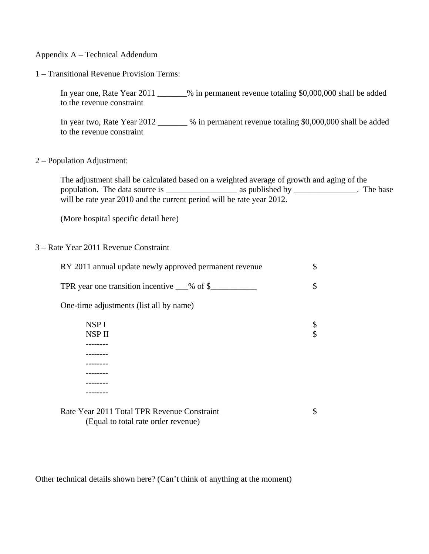#### Appendix A – Technical Addendum

#### 1 – Transitional Revenue Provision Terms:

In year one, Rate Year 2011 \_\_\_\_\_\_\_% in permanent revenue totaling \$0,000,000 shall be added to the revenue constraint

In year two, Rate Year 2012 \_\_\_\_\_\_\_ % in permanent revenue totaling \$0,000,000 shall be added to the revenue constraint

#### 2 – Population Adjustment:

The adjustment shall be calculated based on a weighted average of growth and aging of the population. The data source is \_\_\_\_\_\_\_\_\_\_\_\_\_\_\_\_\_ as published by \_\_\_\_\_\_\_\_\_\_\_\_\_\_\_. The base will be rate year 2010 and the current period will be rate year 2012.

(More hospital specific detail here)

#### 3 – Rate Year 2011 Revenue Constraint

| RY 2011 annual update newly approved permanent revenue |    |
|--------------------------------------------------------|----|
| TPR year one transition incentive ___% of \$___        | \$ |
| One-time adjustments (list all by name)                |    |
| NSP <sub>I</sub>                                       |    |
| NSP II                                                 | \$ |
|                                                        |    |
|                                                        |    |
|                                                        |    |
|                                                        |    |
|                                                        |    |
|                                                        |    |
|                                                        |    |

Rate Year 2011 Total TPR Revenue Constraint  $\sim$  \$ (Equal to total rate order revenue)

Other technical details shown here? (Can't think of anything at the moment)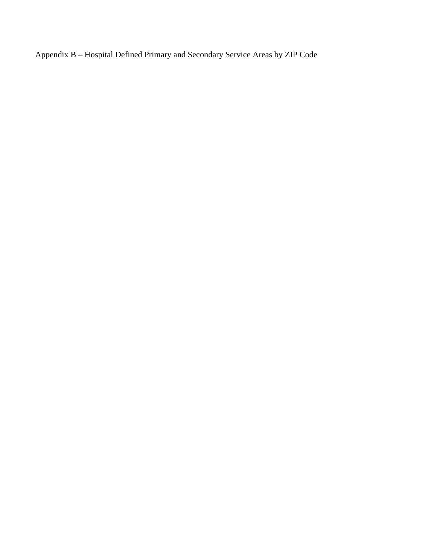Appendix B – Hospital Defined Primary and Secondary Service Areas by ZIP Code